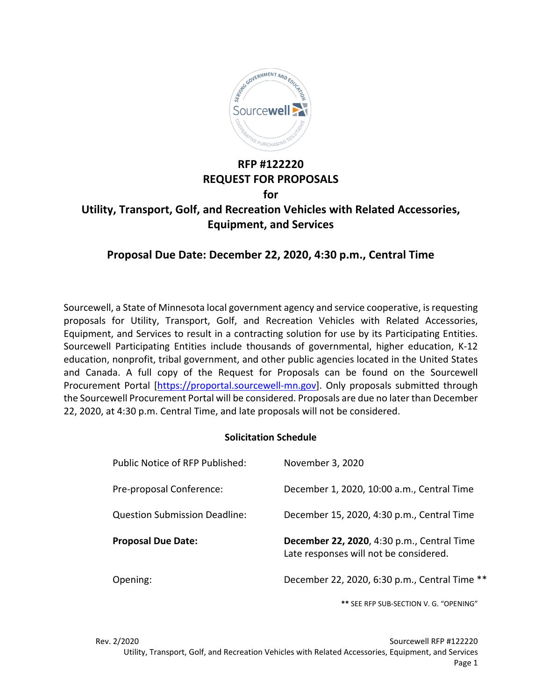

# **RFP #122220 REQUEST FOR PROPOSALS for Utility, Transport, Golf, and Recreation Vehicles with Related Accessories, Equipment, and Services**

# **Proposal Due Date: December 22, 2020, 4:30 p.m., Central Time**

Sourcewell, a State of Minnesota local government agency and service cooperative, is requesting proposals for Utility, Transport, Golf, and Recreation Vehicles with Related Accessories, Equipment, and Services to result in a contracting solution for use by its Participating Entities. Sourcewell Participating Entities include thousands of governmental, higher education, K-12 education, nonprofit, tribal government, and other public agencies located in the United States and Canada. A full copy of the Request for Proposals can be found on the Sourcewell Procurement Portal [\[https://proportal.sourcewell-mn.gov\]](https://proportal.sourcewell-mn.gov/). Only proposals submitted through the Sourcewell Procurement Portal will be considered. Proposals are due no later than December 22, 2020, at 4:30 p.m. Central Time, and late proposals will not be considered.

### **Solicitation Schedule**

| Public Notice of RFP Published:      | November 3, 2020                                                                     |
|--------------------------------------|--------------------------------------------------------------------------------------|
| Pre-proposal Conference:             | December 1, 2020, 10:00 a.m., Central Time                                           |
| <b>Question Submission Deadline:</b> | December 15, 2020, 4:30 p.m., Central Time                                           |
|                                      |                                                                                      |
| <b>Proposal Due Date:</b>            | December 22, 2020, 4:30 p.m., Central Time<br>Late responses will not be considered. |

**\*\*** SEE RFP SUB-SECTION V. G. "OPENING"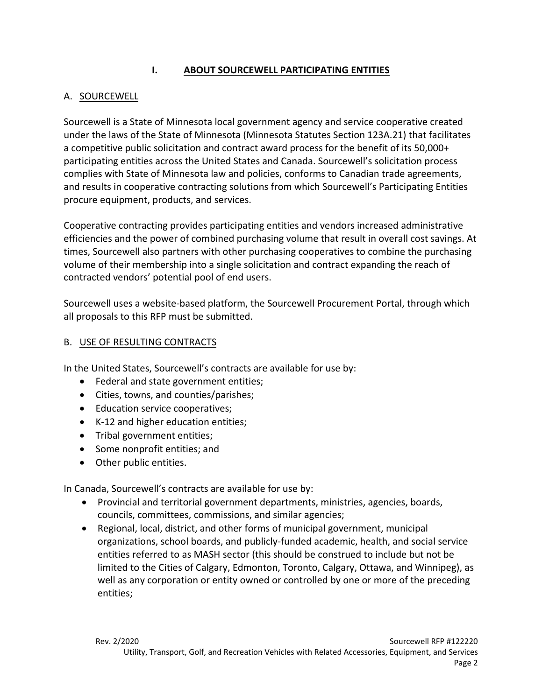## **I. ABOUT SOURCEWELL PARTICIPATING ENTITIES**

## A. SOURCEWELL

Sourcewell is a State of Minnesota local government agency and service cooperative created under the laws of the State of Minnesota (Minnesota Statutes Section 123A.21) that facilitates a competitive public solicitation and contract award process for the benefit of its 50,000+ participating entities across the United States and Canada. Sourcewell's solicitation process complies with State of Minnesota law and policies, conforms to Canadian trade agreements, and results in cooperative contracting solutions from which Sourcewell's Participating Entities procure equipment, products, and services.

Cooperative contracting provides participating entities and vendors increased administrative efficiencies and the power of combined purchasing volume that result in overall cost savings. At times, Sourcewell also partners with other purchasing cooperatives to combine the purchasing volume of their membership into a single solicitation and contract expanding the reach of contracted vendors' potential pool of end users.

Sourcewell uses a website-based platform, the Sourcewell Procurement Portal, through which all proposals to this RFP must be submitted.

### B. USE OF RESULTING CONTRACTS

In the United States, Sourcewell's contracts are available for use by:

- Federal and state government entities;
- Cities, towns, and counties/parishes;
- Education service cooperatives;
- K-12 and higher education entities;
- Tribal government entities;
- Some nonprofit entities; and
- Other public entities.

In Canada, Sourcewell's contracts are available for use by:

- Provincial and territorial government departments, ministries, agencies, boards, councils, committees, commissions, and similar agencies;
- Regional, local, district, and other forms of municipal government, municipal organizations, school boards, and publicly-funded academic, health, and social service entities referred to as MASH sector (this should be construed to include but not be limited to the Cities of Calgary, Edmonton, Toronto, Calgary, Ottawa, and Winnipeg), as well as any corporation or entity owned or controlled by one or more of the preceding entities;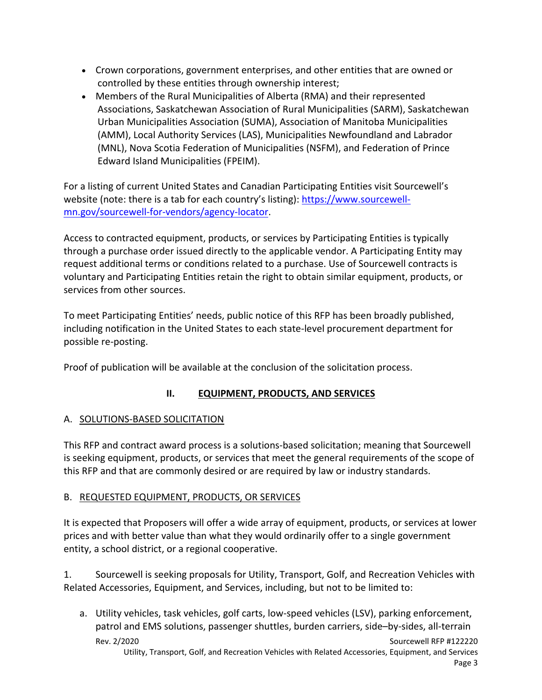- Crown corporations, government enterprises, and other entities that are owned or controlled by these entities through ownership interest;
- Members of the Rural Municipalities of Alberta (RMA) and their represented Associations, Saskatchewan Association of Rural Municipalities (SARM), Saskatchewan Urban Municipalities Association (SUMA), Association of Manitoba Municipalities (AMM), Local Authority Services (LAS), Municipalities Newfoundland and Labrador (MNL), Nova Scotia Federation of Municipalities (NSFM), and Federation of Prince Edward Island Municipalities (FPEIM).

For a listing of current United States and Canadian Participating Entities visit Sourcewell's website (note: there is a tab for each country's listing): [https://www.sourcewell](https://www.sourcewell-mn.gov/sourcewell-for-vendors/agency-locator)[mn.gov/sourcewell-for-vendors/agency-locator.](https://www.sourcewell-mn.gov/sourcewell-for-vendors/agency-locator)

Access to contracted equipment, products, or services by Participating Entities is typically through a purchase order issued directly to the applicable vendor. A Participating Entity may request additional terms or conditions related to a purchase. Use of Sourcewell contracts is voluntary and Participating Entities retain the right to obtain similar equipment, products, or services from other sources.

To meet Participating Entities' needs, public notice of this RFP has been broadly published, including notification in the United States to each state-level procurement department for possible re-posting.

Proof of publication will be available at the conclusion of the solicitation process.

# **II. EQUIPMENT, PRODUCTS, AND SERVICES**

# A. SOLUTIONS-BASED SOLICITATION

This RFP and contract award process is a solutions-based solicitation; meaning that Sourcewell is seeking equipment, products, or services that meet the general requirements of the scope of this RFP and that are commonly desired or are required by law or industry standards.

## B. REQUESTED EQUIPMENT, PRODUCTS, OR SERVICES

It is expected that Proposers will offer a wide array of equipment, products, or services at lower prices and with better value than what they would ordinarily offer to a single government entity, a school district, or a regional cooperative.

1. Sourcewell is seeking proposals for Utility, Transport, Golf, and Recreation Vehicles with Related Accessories, Equipment, and Services, including, but not to be limited to:

Rev. 2/2020 Sourcewell RFP #122220 a. Utility vehicles, task vehicles, golf carts, low-speed vehicles (LSV), parking enforcement, patrol and EMS solutions, passenger shuttles, burden carriers, side–by-sides, all-terrain

Utility, Transport, Golf, and Recreation Vehicles with Related Accessories, Equipment, and Services Page 3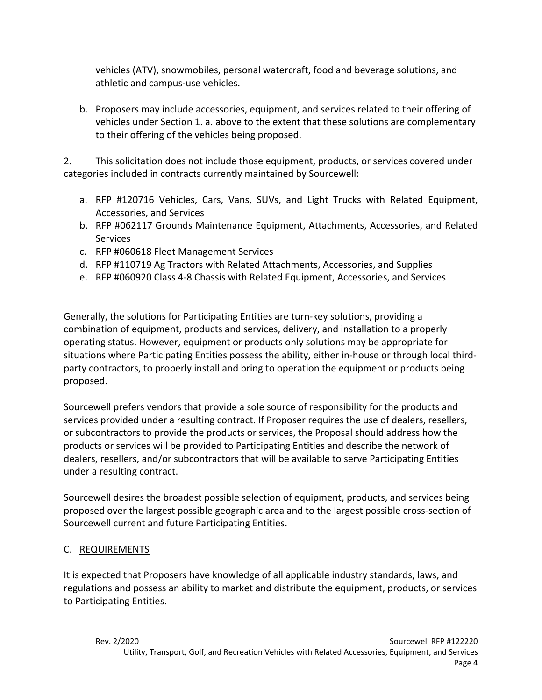vehicles (ATV), snowmobiles, personal watercraft, food and beverage solutions, and athletic and campus-use vehicles.

b. Proposers may include accessories, equipment, and services related to their offering of vehicles under Section 1. a. above to the extent that these solutions are complementary to their offering of the vehicles being proposed.

2. This solicitation does not include those equipment, products, or services covered under categories included in contracts currently maintained by Sourcewell:

- a. RFP #120716 Vehicles, Cars, Vans, SUVs, and Light Trucks with Related Equipment, Accessories, and Services
- b. RFP #062117 Grounds Maintenance Equipment, Attachments, Accessories, and Related **Services**
- c. RFP #060618 Fleet Management Services
- d. RFP #110719 Ag Tractors with Related Attachments, Accessories, and Supplies
- e. RFP #060920 Class 4-8 Chassis with Related Equipment, Accessories, and Services

Generally, the solutions for Participating Entities are turn-key solutions, providing a combination of equipment, products and services, delivery, and installation to a properly operating status. However, equipment or products only solutions may be appropriate for situations where Participating Entities possess the ability, either in-house or through local thirdparty contractors, to properly install and bring to operation the equipment or products being proposed.

Sourcewell prefers vendors that provide a sole source of responsibility for the products and services provided under a resulting contract. If Proposer requires the use of dealers, resellers, or subcontractors to provide the products or services, the Proposal should address how the products or services will be provided to Participating Entities and describe the network of dealers, resellers, and/or subcontractors that will be available to serve Participating Entities under a resulting contract.

Sourcewell desires the broadest possible selection of equipment, products, and services being proposed over the largest possible geographic area and to the largest possible cross-section of Sourcewell current and future Participating Entities.

## C. REQUIREMENTS

It is expected that Proposers have knowledge of all applicable industry standards, laws, and regulations and possess an ability to market and distribute the equipment, products, or services to Participating Entities.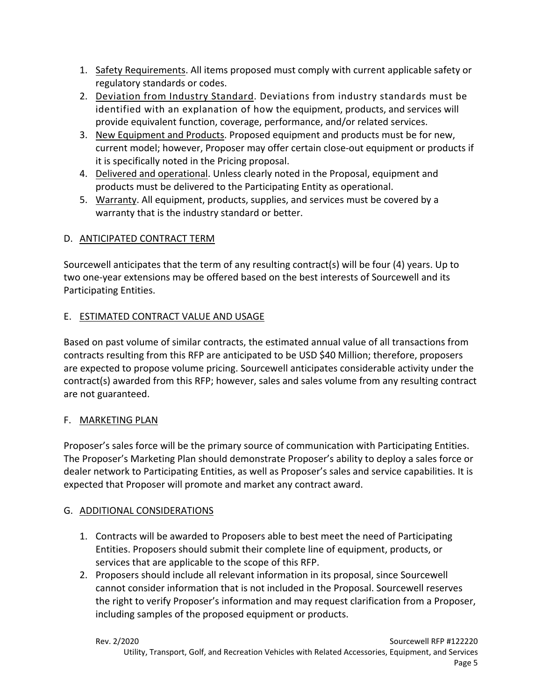- 1. Safety Requirements. All items proposed must comply with current applicable safety or regulatory standards or codes.
- 2. Deviation from Industry Standard. Deviations from industry standards must be identified with an explanation of how the equipment, products, and services will provide equivalent function, coverage, performance, and/or related services.
- 3. New Equipment and Products. Proposed equipment and products must be for new, current model; however, Proposer may offer certain close-out equipment or products if it is specifically noted in the Pricing proposal.
- 4. Delivered and operational. Unless clearly noted in the Proposal, equipment and products must be delivered to the Participating Entity as operational.
- 5. Warranty. All equipment, products, supplies, and services must be covered by a warranty that is the industry standard or better.

# D. ANTICIPATED CONTRACT TERM

Sourcewell anticipates that the term of any resulting contract(s) will be four (4) years. Up to two one-year extensions may be offered based on the best interests of Sourcewell and its Participating Entities.

# E. ESTIMATED CONTRACT VALUE AND USAGE

Based on past volume of similar contracts, the estimated annual value of all transactions from contracts resulting from this RFP are anticipated to be USD \$40 Million; therefore, proposers are expected to propose volume pricing. Sourcewell anticipates considerable activity under the contract(s) awarded from this RFP; however, sales and sales volume from any resulting contract are not guaranteed.

# F. MARKETING PLAN

Proposer's sales force will be the primary source of communication with Participating Entities. The Proposer's Marketing Plan should demonstrate Proposer's ability to deploy a sales force or dealer network to Participating Entities, as well as Proposer's sales and service capabilities. It is expected that Proposer will promote and market any contract award.

# G. ADDITIONAL CONSIDERATIONS

- 1. Contracts will be awarded to Proposers able to best meet the need of Participating Entities. Proposers should submit their complete line of equipment, products, or services that are applicable to the scope of this RFP.
- 2. Proposers should include all relevant information in its proposal, since Sourcewell cannot consider information that is not included in the Proposal. Sourcewell reserves the right to verify Proposer's information and may request clarification from a Proposer, including samples of the proposed equipment or products.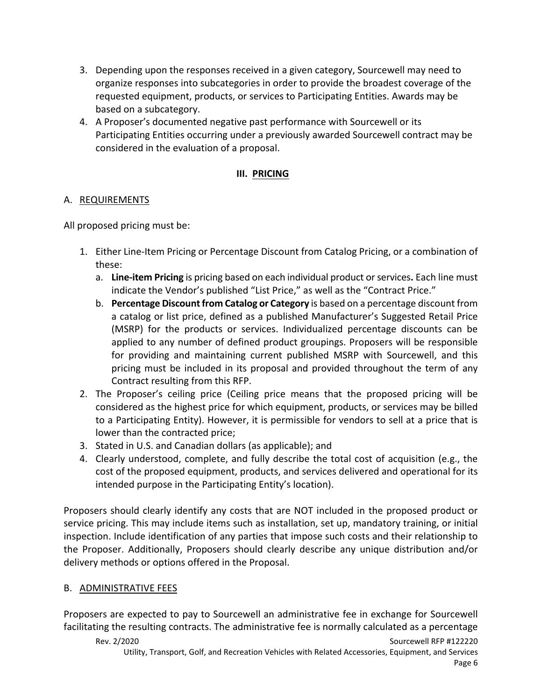- 3. Depending upon the responses received in a given category, Sourcewell may need to organize responses into subcategories in order to provide the broadest coverage of the requested equipment, products, or services to Participating Entities. Awards may be based on a subcategory.
- 4. A Proposer's documented negative past performance with Sourcewell or its Participating Entities occurring under a previously awarded Sourcewell contract may be considered in the evaluation of a proposal.

## **III. PRICING**

## A. REQUIREMENTS

All proposed pricing must be:

- 1. Either Line-Item Pricing or Percentage Discount from Catalog Pricing, or a combination of these:
	- a. **Line-item Pricing** is pricing based on each individual product or services**.** Each line must indicate the Vendor's published "List Price," as well as the "Contract Price."
	- b. **Percentage Discount from Catalog or Category** is based on a percentage discount from a catalog or list price, defined as a published Manufacturer's Suggested Retail Price (MSRP) for the products or services. Individualized percentage discounts can be applied to any number of defined product groupings. Proposers will be responsible for providing and maintaining current published MSRP with Sourcewell, and this pricing must be included in its proposal and provided throughout the term of any Contract resulting from this RFP.
- 2. The Proposer's ceiling price (Ceiling price means that the proposed pricing will be considered as the highest price for which equipment, products, or services may be billed to a Participating Entity). However, it is permissible for vendors to sell at a price that is lower than the contracted price;
- 3. Stated in U.S. and Canadian dollars (as applicable); and
- 4. Clearly understood, complete, and fully describe the total cost of acquisition (e.g., the cost of the proposed equipment, products, and services delivered and operational for its intended purpose in the Participating Entity's location).

Proposers should clearly identify any costs that are NOT included in the proposed product or service pricing. This may include items such as installation, set up, mandatory training, or initial inspection. Include identification of any parties that impose such costs and their relationship to the Proposer. Additionally, Proposers should clearly describe any unique distribution and/or delivery methods or options offered in the Proposal.

## B. ADMINISTRATIVE FEES

Proposers are expected to pay to Sourcewell an administrative fee in exchange for Sourcewell facilitating the resulting contracts. The administrative fee is normally calculated as a percentage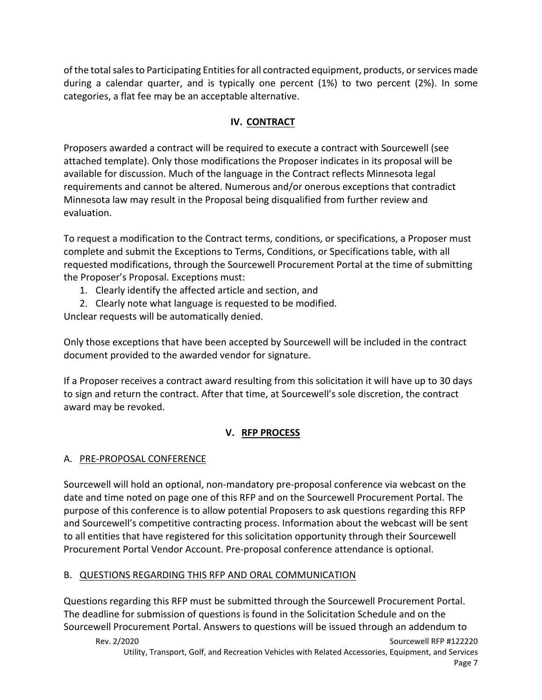of the total sales to Participating Entitiesfor all contracted equipment, products, or services made during a calendar quarter, and is typically one percent (1%) to two percent (2%). In some categories, a flat fee may be an acceptable alternative.

# **IV. CONTRACT**

Proposers awarded a contract will be required to execute a contract with Sourcewell (see attached template). Only those modifications the Proposer indicates in its proposal will be available for discussion. Much of the language in the Contract reflects Minnesota legal requirements and cannot be altered. Numerous and/or onerous exceptions that contradict Minnesota law may result in the Proposal being disqualified from further review and evaluation.

To request a modification to the Contract terms, conditions, or specifications, a Proposer must complete and submit the Exceptions to Terms, Conditions, or Specifications table, with all requested modifications, through the Sourcewell Procurement Portal at the time of submitting the Proposer's Proposal. Exceptions must:

- 1. Clearly identify the affected article and section, and
- 2. Clearly note what language is requested to be modified.

Unclear requests will be automatically denied.

Only those exceptions that have been accepted by Sourcewell will be included in the contract document provided to the awarded vendor for signature.

If a Proposer receives a contract award resulting from this solicitation it will have up to 30 days to sign and return the contract. After that time, at Sourcewell's sole discretion, the contract award may be revoked.

# **V. RFP PROCESS**

# A. PRE-PROPOSAL CONFERENCE

Sourcewell will hold an optional, non-mandatory pre-proposal conference via webcast on the date and time noted on page one of this RFP and on the Sourcewell Procurement Portal. The purpose of this conference is to allow potential Proposers to ask questions regarding this RFP and Sourcewell's competitive contracting process. Information about the webcast will be sent to all entities that have registered for this solicitation opportunity through their Sourcewell Procurement Portal Vendor Account. Pre-proposal conference attendance is optional.

# B. QUESTIONS REGARDING THIS RFP AND ORAL COMMUNICATION

Questions regarding this RFP must be submitted through the Sourcewell Procurement Portal. The deadline for submission of questions is found in the Solicitation Schedule and on the Sourcewell Procurement Portal. Answers to questions will be issued through an addendum to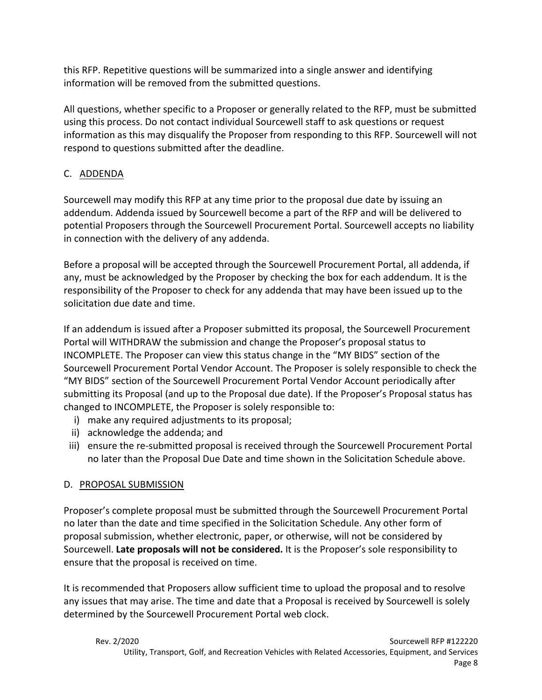this RFP. Repetitive questions will be summarized into a single answer and identifying information will be removed from the submitted questions.

All questions, whether specific to a Proposer or generally related to the RFP, must be submitted using this process. Do not contact individual Sourcewell staff to ask questions or request information as this may disqualify the Proposer from responding to this RFP. Sourcewell will not respond to questions submitted after the deadline.

# C. ADDENDA

Sourcewell may modify this RFP at any time prior to the proposal due date by issuing an addendum. Addenda issued by Sourcewell become a part of the RFP and will be delivered to potential Proposers through the Sourcewell Procurement Portal. Sourcewell accepts no liability in connection with the delivery of any addenda.

Before a proposal will be accepted through the Sourcewell Procurement Portal, all addenda, if any, must be acknowledged by the Proposer by checking the box for each addendum. It is the responsibility of the Proposer to check for any addenda that may have been issued up to the solicitation due date and time.

If an addendum is issued after a Proposer submitted its proposal, the Sourcewell Procurement Portal will WITHDRAW the submission and change the Proposer's proposal status to INCOMPLETE. The Proposer can view this status change in the "MY BIDS" section of the Sourcewell Procurement Portal Vendor Account. The Proposer is solely responsible to check the "MY BIDS" section of the Sourcewell Procurement Portal Vendor Account periodically after submitting its Proposal (and up to the Proposal due date). If the Proposer's Proposal status has changed to INCOMPLETE, the Proposer is solely responsible to:

- i) make any required adjustments to its proposal;
- ii) acknowledge the addenda; and
- iii) ensure the re-submitted proposal is received through the Sourcewell Procurement Portal no later than the Proposal Due Date and time shown in the Solicitation Schedule above.

# D. PROPOSAL SUBMISSION

Proposer's complete proposal must be submitted through the Sourcewell Procurement Portal no later than the date and time specified in the Solicitation Schedule. Any other form of proposal submission, whether electronic, paper, or otherwise, will not be considered by Sourcewell. **Late proposals will not be considered.** It is the Proposer's sole responsibility to ensure that the proposal is received on time.

It is recommended that Proposers allow sufficient time to upload the proposal and to resolve any issues that may arise. The time and date that a Proposal is received by Sourcewell is solely determined by the Sourcewell Procurement Portal web clock.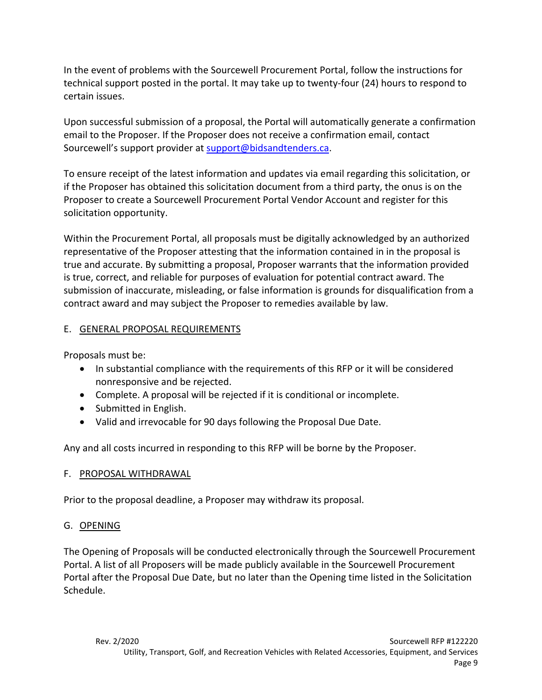In the event of problems with the Sourcewell Procurement Portal, follow the instructions for technical support posted in the portal. It may take up to twenty-four (24) hours to respond to certain issues.

Upon successful submission of a proposal, the Portal will automatically generate a confirmation email to the Proposer. If the Proposer does not receive a confirmation email, contact Sourcewell's support provider at [support@bidsandtenders.ca.](mailto:support@bidsandtenders.ca)

To ensure receipt of the latest information and updates via email regarding this solicitation, or if the Proposer has obtained this solicitation document from a third party, the onus is on the Proposer to create a Sourcewell Procurement Portal Vendor Account and register for this solicitation opportunity.

Within the Procurement Portal, all proposals must be digitally acknowledged by an authorized representative of the Proposer attesting that the information contained in in the proposal is true and accurate. By submitting a proposal, Proposer warrants that the information provided is true, correct, and reliable for purposes of evaluation for potential contract award. The submission of inaccurate, misleading, or false information is grounds for disqualification from a contract award and may subject the Proposer to remedies available by law.

## E. GENERAL PROPOSAL REQUIREMENTS

Proposals must be:

- In substantial compliance with the requirements of this RFP or it will be considered nonresponsive and be rejected.
- Complete. A proposal will be rejected if it is conditional or incomplete.
- Submitted in English.
- Valid and irrevocable for 90 days following the Proposal Due Date.

Any and all costs incurred in responding to this RFP will be borne by the Proposer.

## F. PROPOSAL WITHDRAWAL

Prior to the proposal deadline, a Proposer may withdraw its proposal.

## G. OPENING

The Opening of Proposals will be conducted electronically through the Sourcewell Procurement Portal. A list of all Proposers will be made publicly available in the Sourcewell Procurement Portal after the Proposal Due Date, but no later than the Opening time listed in the Solicitation Schedule.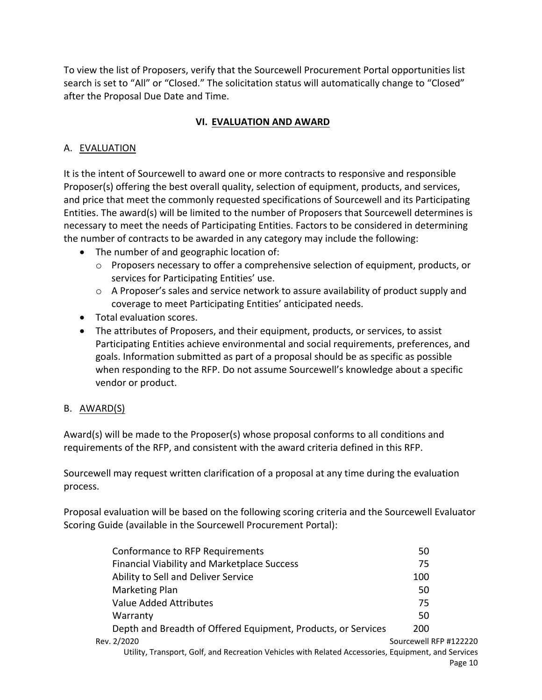To view the list of Proposers, verify that the Sourcewell Procurement Portal opportunities list search is set to "All" or "Closed." The solicitation status will automatically change to "Closed" after the Proposal Due Date and Time.

## **VI. EVALUATION AND AWARD**

## A. EVALUATION

It is the intent of Sourcewell to award one or more contracts to responsive and responsible Proposer(s) offering the best overall quality, selection of equipment, products, and services, and price that meet the commonly requested specifications of Sourcewell and its Participating Entities. The award(s) will be limited to the number of Proposers that Sourcewell determines is necessary to meet the needs of Participating Entities. Factors to be considered in determining the number of contracts to be awarded in any category may include the following:

- The number of and geographic location of:
	- $\circ$  Proposers necessary to offer a comprehensive selection of equipment, products, or services for Participating Entities' use.
	- o A Proposer's sales and service network to assure availability of product supply and coverage to meet Participating Entities' anticipated needs.
- Total evaluation scores.
- The attributes of Proposers, and their equipment, products, or services, to assist Participating Entities achieve environmental and social requirements, preferences, and goals. Information submitted as part of a proposal should be as specific as possible when responding to the RFP. Do not assume Sourcewell's knowledge about a specific vendor or product.

## B. AWARD(S)

Award(s) will be made to the Proposer(s) whose proposal conforms to all conditions and requirements of the RFP, and consistent with the award criteria defined in this RFP.

Sourcewell may request written clarification of a proposal at any time during the evaluation process.

Proposal evaluation will be based on the following scoring criteria and the Sourcewell Evaluator Scoring Guide (available in the Sourcewell Procurement Portal):

| Conformance to RFP Requirements                                                                     | 50                     |
|-----------------------------------------------------------------------------------------------------|------------------------|
| <b>Financial Viability and Marketplace Success</b>                                                  | 75                     |
| Ability to Sell and Deliver Service                                                                 | 100                    |
| Marketing Plan                                                                                      | 50                     |
| Value Added Attributes                                                                              | 75                     |
| Warranty                                                                                            | 50                     |
| Depth and Breadth of Offered Equipment, Products, or Services                                       | 200                    |
| Rev. 2/2020                                                                                         | Sourcewell RFP #122220 |
| Utility, Transport, Golf, and Recreation Vehicles with Related Accessories, Equipment, and Services |                        |
|                                                                                                     | Page 10                |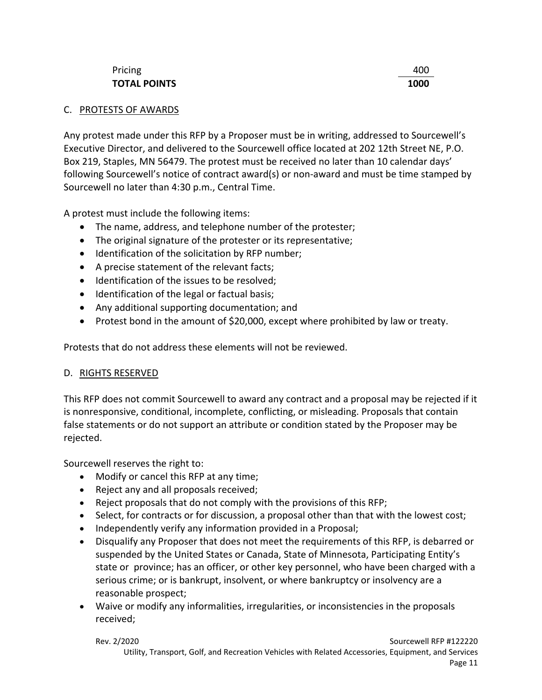## Pricing **Account 2008 Account 2008 Account 2008 Account 2008 ACCOUNT 2008 TOTAL POINTS 1000**

# C. PROTESTS OF AWARDS

Any protest made under this RFP by a Proposer must be in writing, addressed to Sourcewell's Executive Director, and delivered to the Sourcewell office located at 202 12th Street NE, P.O. Box 219, Staples, MN 56479. The protest must be received no later than 10 calendar days' following Sourcewell's notice of contract award(s) or non-award and must be time stamped by Sourcewell no later than 4:30 p.m., Central Time.

A protest must include the following items:

- The name, address, and telephone number of the protester;
- The original signature of the protester or its representative;
- Identification of the solicitation by RFP number;
- A precise statement of the relevant facts;
- Identification of the issues to be resolved;
- Identification of the legal or factual basis;
- Any additional supporting documentation; and
- Protest bond in the amount of \$20,000, except where prohibited by law or treaty.

Protests that do not address these elements will not be reviewed.

# D. RIGHTS RESERVED

This RFP does not commit Sourcewell to award any contract and a proposal may be rejected if it is nonresponsive, conditional, incomplete, conflicting, or misleading. Proposals that contain false statements or do not support an attribute or condition stated by the Proposer may be rejected.

Sourcewell reserves the right to:

- Modify or cancel this RFP at any time;
- Reject any and all proposals received;
- Reject proposals that do not comply with the provisions of this RFP;
- Select, for contracts or for discussion, a proposal other than that with the lowest cost;
- Independently verify any information provided in a Proposal;
- Disqualify any Proposer that does not meet the requirements of this RFP, is debarred or suspended by the United States or Canada, State of Minnesota, Participating Entity's state or province; has an officer, or other key personnel, who have been charged with a serious crime; or is bankrupt, insolvent, or where bankruptcy or insolvency are a reasonable prospect;
- Waive or modify any informalities, irregularities, or inconsistencies in the proposals received;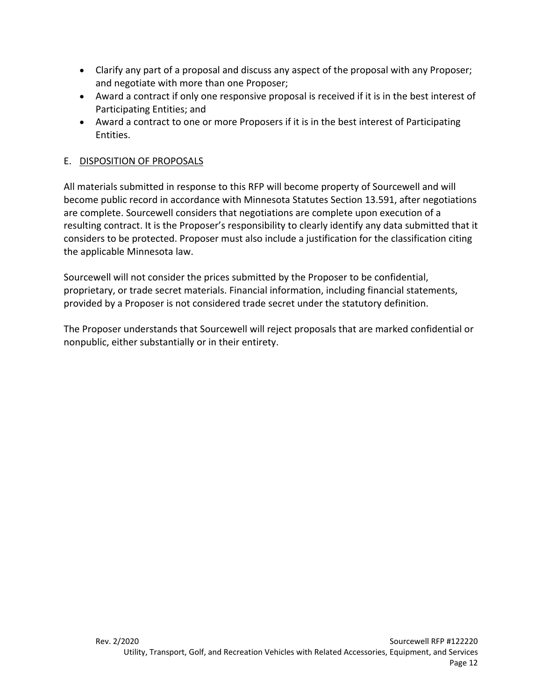- Clarify any part of a proposal and discuss any aspect of the proposal with any Proposer; and negotiate with more than one Proposer;
- Award a contract if only one responsive proposal is received if it is in the best interest of Participating Entities; and
- Award a contract to one or more Proposers if it is in the best interest of Participating Entities.

## E. DISPOSITION OF PROPOSALS

All materials submitted in response to this RFP will become property of Sourcewell and will become public record in accordance with Minnesota Statutes Section 13.591, after negotiations are complete. Sourcewell considers that negotiations are complete upon execution of a resulting contract. It is the Proposer's responsibility to clearly identify any data submitted that it considers to be protected. Proposer must also include a justification for the classification citing the applicable Minnesota law.

Sourcewell will not consider the prices submitted by the Proposer to be confidential, proprietary, or trade secret materials. Financial information, including financial statements, provided by a Proposer is not considered trade secret under the statutory definition.

The Proposer understands that Sourcewell will reject proposals that are marked confidential or nonpublic, either substantially or in their entirety.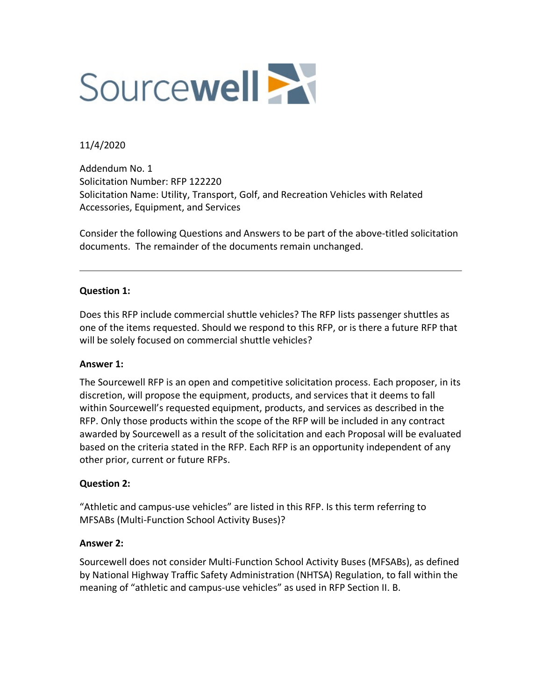

### 11/4/2020

Addendum No. 1 Solicitation Number: RFP 122220 Solicitation Name: Utility, Transport, Golf, and Recreation Vehicles with Related Accessories, Equipment, and Services

Consider the following Questions and Answers to be part of the above-titled solicitation documents. The remainder of the documents remain unchanged.

### **Question 1:**

Does this RFP include commercial shuttle vehicles? The RFP lists passenger shuttles as one of the items requested. Should we respond to this RFP, or is there a future RFP that will be solely focused on commercial shuttle vehicles?

### **Answer 1:**

The Sourcewell RFP is an open and competitive solicitation process. Each proposer, in its discretion, will propose the equipment, products, and services that it deems to fall within Sourcewell's requested equipment, products, and services as described in the RFP. Only those products within the scope of the RFP will be included in any contract awarded by Sourcewell as a result of the solicitation and each Proposal will be evaluated based on the criteria stated in the RFP. Each RFP is an opportunity independent of any other prior, current or future RFPs.

### **Question 2:**

"Athletic and campus-use vehicles" are listed in this RFP. Is this term referring to MFSABs (Multi-Function School Activity Buses)?

#### **Answer 2:**

Sourcewell does not consider Multi-Function School Activity Buses (MFSABs), as defined by National Highway Traffic Safety Administration (NHTSA) Regulation, to fall within the meaning of "athletic and campus-use vehicles" as used in RFP Section II. B.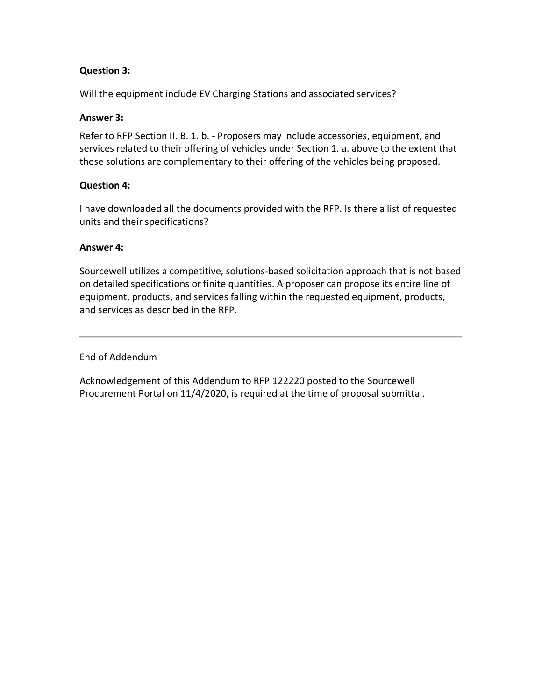### **Question 3:**

Will the equipment include EV Charging Stations and associated services?

### **Answer 3:**

Refer to RFP Section II. B. 1. b. - Proposers may include accessories, equipment, and services related to their offering of vehicles under Section 1. a. above to the extent that these solutions are complementary to their offering of the vehicles being proposed.

### **Question 4:**

I have downloaded all the documents provided with the RFP. Is there a list of requested units and their specifications?

### **Answer 4:**

Sourcewell utilizes a competitive, solutions-based solicitation approach that is not based on detailed specifications or finite quantities. A proposer can propose its entire line of equipment, products, and services falling within the requested equipment, products, and services as described in the RFP.

### End of Addendum

Acknowledgement of this Addendum to RFP 122220 posted to the Sourcewell Procurement Portal on 11/4/2020, is required at the time of proposal submittal.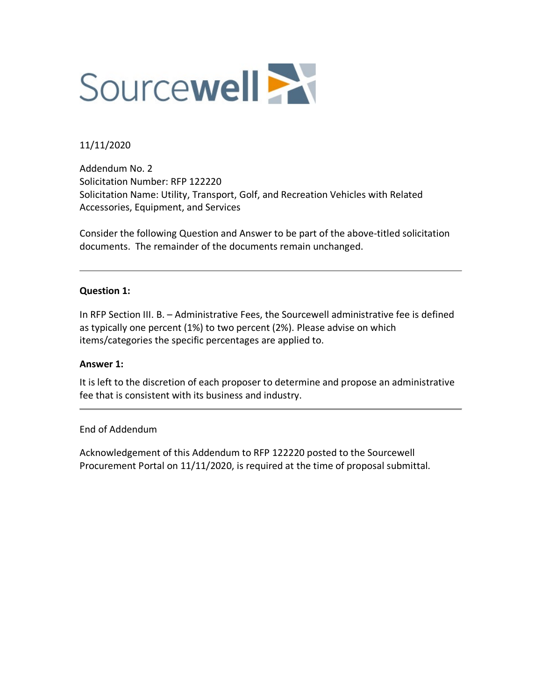

### 11/11/2020

Addendum No. 2 Solicitation Number: RFP 122220 Solicitation Name: Utility, Transport, Golf, and Recreation Vehicles with Related Accessories, Equipment, and Services

Consider the following Question and Answer to be part of the above-titled solicitation documents. The remainder of the documents remain unchanged.

### **Question 1:**

In RFP Section III. B. – Administrative Fees, the Sourcewell administrative fee is defined as typically one percent (1%) to two percent (2%). Please advise on which items/categories the specific percentages are applied to.

#### **Answer 1:**

It is left to the discretion of each proposer to determine and propose an administrative fee that is consistent with its business and industry.

#### End of Addendum

Acknowledgement of this Addendum to RFP 122220 posted to the Sourcewell Procurement Portal on 11/11/2020, is required at the time of proposal submittal.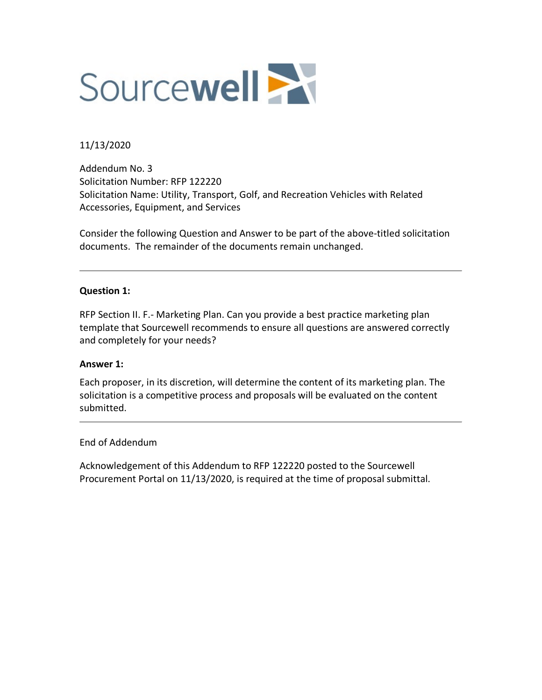

### 11/13/2020

Addendum No. 3 Solicitation Number: RFP 122220 Solicitation Name: Utility, Transport, Golf, and Recreation Vehicles with Related Accessories, Equipment, and Services

Consider the following Question and Answer to be part of the above-titled solicitation documents. The remainder of the documents remain unchanged.

### **Question 1:**

RFP Section II. F.- Marketing Plan. Can you provide a best practice marketing plan template that Sourcewell recommends to ensure all questions are answered correctly and completely for your needs?

#### **Answer 1:**

Each proposer, in its discretion, will determine the content of its marketing plan. The solicitation is a competitive process and proposals will be evaluated on the content submitted.

#### End of Addendum

Acknowledgement of this Addendum to RFP 122220 posted to the Sourcewell Procurement Portal on 11/13/2020, is required at the time of proposal submittal.